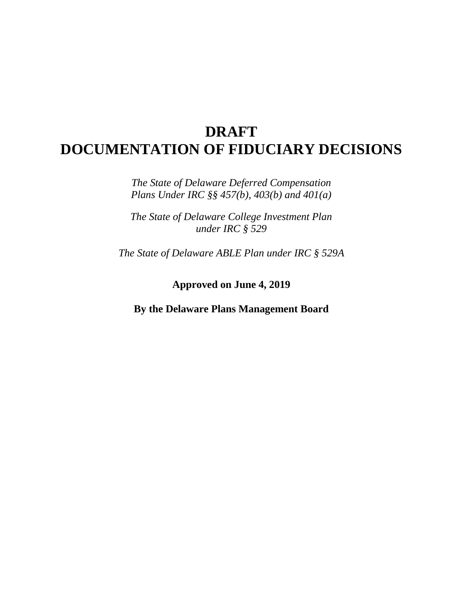# **DRAFT DOCUMENTATION OF FIDUCIARY DECISIONS**

*The State of Delaware Deferred Compensation Plans Under IRC §§ 457(b), 403(b) and 401(a)*

*The State of Delaware College Investment Plan under IRC § 529*

*The State of Delaware ABLE Plan under IRC § 529A*

**Approved on June 4, 2019**

**By the Delaware Plans Management Board**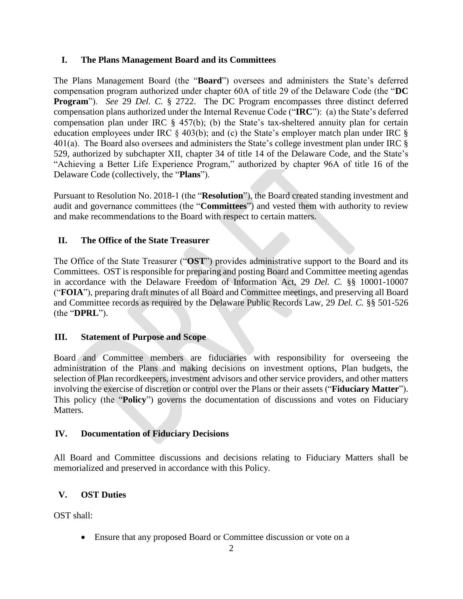#### **I. The Plans Management Board and its Committees**

The Plans Management Board (the "**Board**") oversees and administers the State's deferred compensation program authorized under chapter 60A of title 29 of the Delaware Code (the "**DC Program**"). *See* 29 *Del. C.* § 2722. The DC Program encompasses three distinct deferred compensation plans authorized under the Internal Revenue Code ("**IRC**"): (a) the State's deferred compensation plan under IRC § 457(b); (b) the State's tax-sheltered annuity plan for certain education employees under IRC § 403(b); and (c) the State's employer match plan under IRC § 401(a). The Board also oversees and administers the State's college investment plan under IRC  $\S$ 529, authorized by subchapter XII, chapter 34 of title 14 of the Delaware Code, and the State's "Achieving a Better Life Experience Program," authorized by chapter 96A of title 16 of the Delaware Code (collectively, the "**Plans**").

Pursuant to Resolution No. 2018-1 (the "**Resolution**"), the Board created standing investment and audit and governance committees (the "**Committees**") and vested them with authority to review and make recommendations to the Board with respect to certain matters.

#### **II. The Office of the State Treasurer**

The Office of the State Treasurer ("**OST**") provides administrative support to the Board and its Committees. OST is responsible for preparing and posting Board and Committee meeting agendas in accordance with the Delaware Freedom of Information Act, 29 *Del. C.* §§ 10001-10007 ("**FOIA**"), preparing draft minutes of all Board and Committee meetings, and preserving all Board and Committee records as required by the Delaware Public Records Law, 29 *Del. C.* §§ 501-526 (the "**DPRL**").

#### **III. Statement of Purpose and Scope**

Board and Committee members are fiduciaries with responsibility for overseeing the administration of the Plans and making decisions on investment options, Plan budgets, the selection of Plan recordkeepers, investment advisors and other service providers, and other matters involving the exercise of discretion or control over the Plans or their assets ("**Fiduciary Matter**"). This policy (the "**Policy**") governs the documentation of discussions and votes on Fiduciary Matters.

#### **IV. Documentation of Fiduciary Decisions**

All Board and Committee discussions and decisions relating to Fiduciary Matters shall be memorialized and preserved in accordance with this Policy.

#### **V. OST Duties**

OST shall:

Ensure that any proposed Board or Committee discussion or vote on a